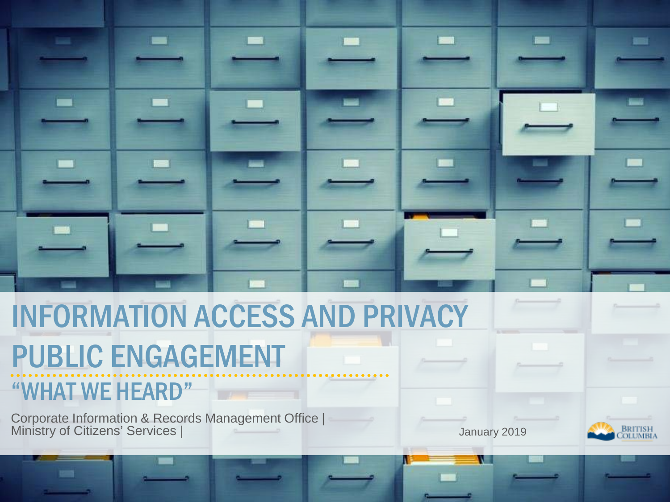# INFORMATION ACCESS AND PRIVACY

# PUBLIC ENGAGEMENT

### "WHAT WE HEARD"

Corporate Information & Records Management Office | Ministry of Citizens' Services | January 2019

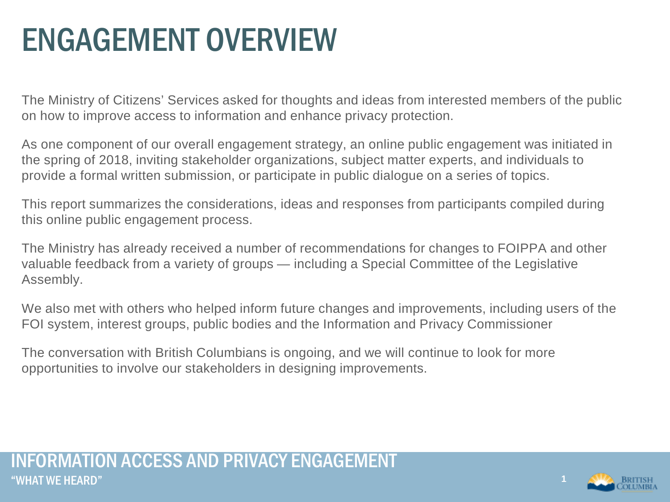### ENGAGEMENT OVERVIEW

The Ministry of Citizens' Services asked for thoughts and ideas from interested members of the public on how to improve access to information and enhance privacy protection.

As one component of our overall engagement strategy, an online public engagement was initiated in the spring of 2018, inviting stakeholder organizations, subject matter experts, and individuals to provide a formal written submission, or participate in public dialogue on a series of topics.

This report summarizes the considerations, ideas and responses from participants compiled during this online public engagement process.

The Ministry has already received a number of recommendations for changes to FOIPPA and other valuable feedback from a variety of groups — including a Special Committee of the Legislative Assembly.

We also met with others who helped inform future changes and improvements, including users of the FOI system, interest groups, public bodies and the Information and Privacy Commissioner

The conversation with British Columbians is ongoing, and we will continue to look for more opportunities to involve our stakeholders in designing improvements.

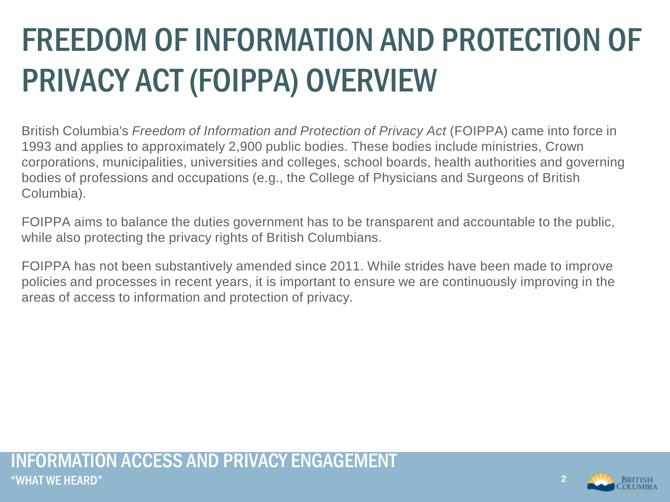# FREEDOM OF INFORMATION AND PROTECTION OF PRIVACY ACT (FOIPPA) OVERVIEW

British Columbia's *Freedom of Information and Protection of Privacy Act* (FOIPPA) came into force in 1993 and applies to approximately 2,900 public bodies. These bodies include ministries, Crown corporations, municipalities, universities and colleges, school boards, health authorities and governing bodies of professions and occupations (e.g., the College of Physicians and Surgeons of British Columbia).

FOIPPA aims to balance the duties government has to be transparent and accountable to the public, while also protecting the privacy rights of British Columbians.

FOIPPA has not been substantively amended since 2011. While strides have been made to improve policies and processes in recent years, it is important to ensure we are continuously improving in the areas of access to information and protection of privacy.



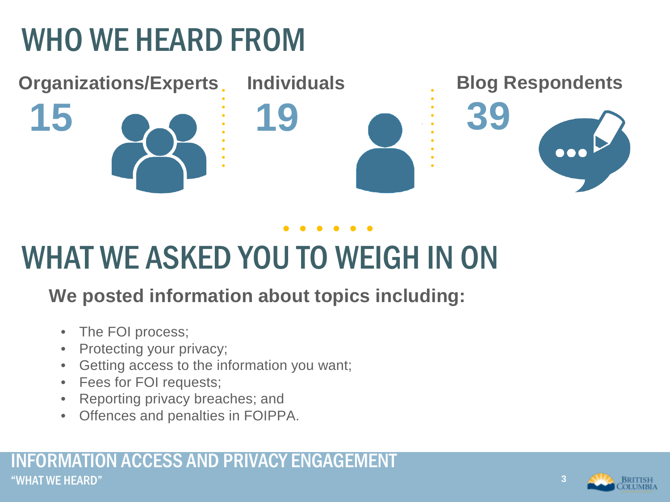### WHO WE HEARD FROM



### WHAT WE ASKED YOU TO WEIGH IN ON

### **We posted information about topics including:**

- The FOI process;
- Protecting your privacy;
- Getting access to the information you want;
- Fees for FOI requests;
- Reporting privacy breaches; and
- Offences and penalties in FOIPPA.



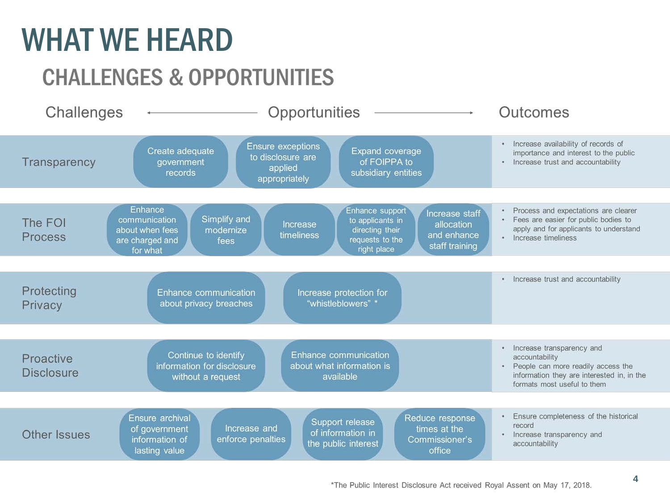### WHAT WE HEARD

### **CHALLENGES & OPPORTUNITIES**

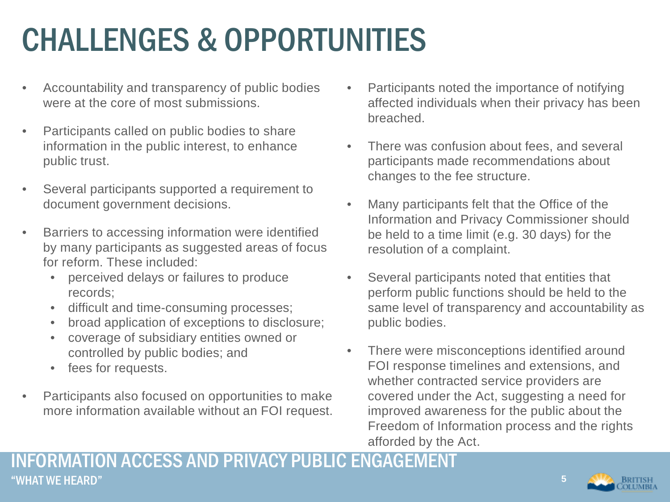### CHALLENGES & OPPORTUNITIES

- Accountability and transparency of public bodies were at the core of most submissions.
- Participants called on public bodies to share information in the public interest, to enhance public trust.
- Several participants supported a requirement to document government decisions.
- Barriers to accessing information were identified by many participants as suggested areas of focus for reform. These included:
	- perceived delays or failures to produce records;
	- difficult and time-consuming processes;
	- broad application of exceptions to disclosure;
	- coverage of subsidiary entities owned or controlled by public bodies; and
	- fees for requests.
- Participants also focused on opportunities to make more information available without an FOI request.
- Participants noted the importance of notifying affected individuals when their privacy has been breached.
- There was confusion about fees, and several participants made recommendations about changes to the fee structure.
- Many participants felt that the Office of the Information and Privacy Commissioner should be held to a time limit (e.g. 30 days) for the resolution of a complaint.
- Several participants noted that entities that perform public functions should be held to the same level of transparency and accountability as public bodies.
- There were misconceptions identified around FOI response timelines and extensions, and whether contracted service providers are covered under the Act, suggesting a need for improved awareness for the public about the Freedom of Information process and the rights afforded by the Act.

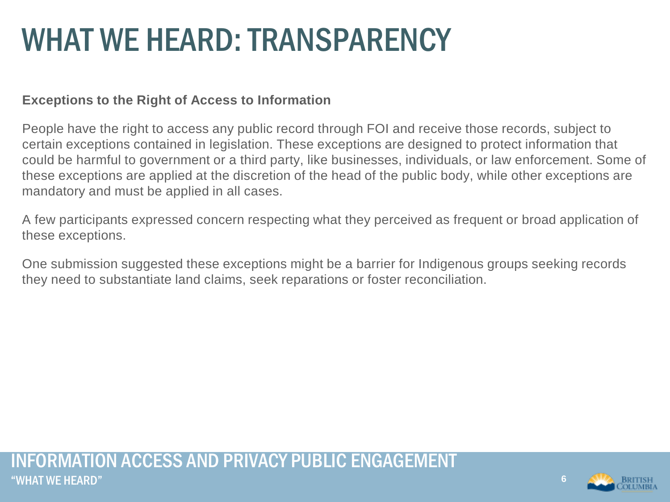### WHAT WE HEARD: TRANSPARENCY

#### **Exceptions to the Right of Access to Information**

People have the right to access any public record through FOI and receive those records, subject to certain exceptions contained in legislation. These exceptions are designed to protect information that could be harmful to government or a third party, like businesses, individuals, or law enforcement. Some of these exceptions are applied at the discretion of the head of the public body, while other exceptions are mandatory and must be applied in all cases.

A few participants expressed concern respecting what they perceived as frequent or broad application of these exceptions.

One submission suggested these exceptions might be a barrier for Indigenous groups seeking records they need to substantiate land claims, seek reparations or foster reconciliation.

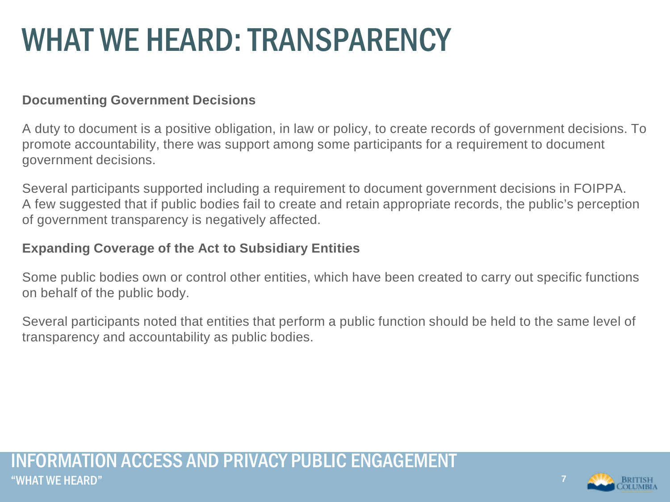### WHAT WE HEARD: TRANSPARENCY

#### **Documenting Government Decisions**

A duty to document is a positive obligation, in law or policy, to create records of government decisions. To promote accountability, there was support among some participants for a requirement to document government decisions.

Several participants supported including a requirement to document government decisions in FOIPPA. A few suggested that if public bodies fail to create and retain appropriate records, the public's perception of government transparency is negatively affected.

#### **Expanding Coverage of the Act to Subsidiary Entities**

Some public bodies own or control other entities, which have been created to carry out specific functions on behalf of the public body.

Several participants noted that entities that perform a public function should be held to the same level of transparency and accountability as public bodies.

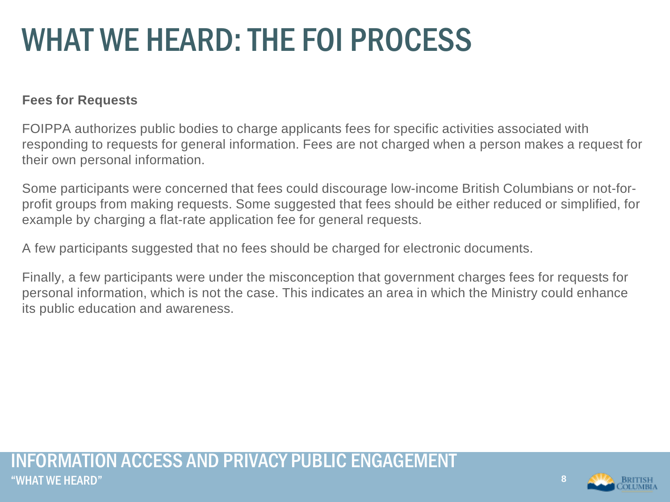#### **Fees for Requests**

FOIPPA authorizes public bodies to charge applicants fees for specific activities associated with responding to requests for general information. Fees are not charged when a person makes a request for their own personal information.

Some participants were concerned that fees could discourage low-income British Columbians or not-forprofit groups from making requests. Some suggested that fees should be either reduced or simplified, for example by charging a flat-rate application fee for general requests.

A few participants suggested that no fees should be charged for electronic documents.

Finally, a few participants were under the misconception that government charges fees for requests for personal information, which is not the case. This indicates an area in which the Ministry could enhance its public education and awareness.

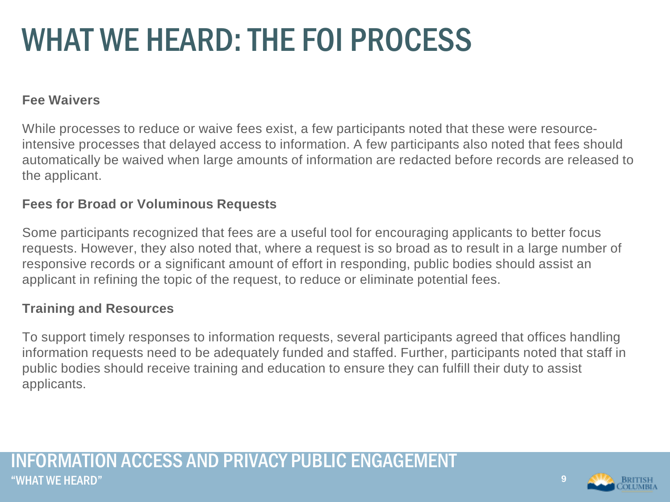#### **Fee Waivers**

While processes to reduce or waive fees exist, a few participants noted that these were resourceintensive processes that delayed access to information. A few participants also noted that fees should automatically be waived when large amounts of information are redacted before records are released to the applicant.

#### **Fees for Broad or Voluminous Requests**

Some participants recognized that fees are a useful tool for encouraging applicants to better focus requests. However, they also noted that, where a request is so broad as to result in a large number of responsive records or a significant amount of effort in responding, public bodies should assist an applicant in refining the topic of the request, to reduce or eliminate potential fees.

#### **Training and Resources**

To support timely responses to information requests, several participants agreed that offices handling information requests need to be adequately funded and staffed. Further, participants noted that staff in public bodies should receive training and education to ensure they can fulfill their duty to assist applicants.

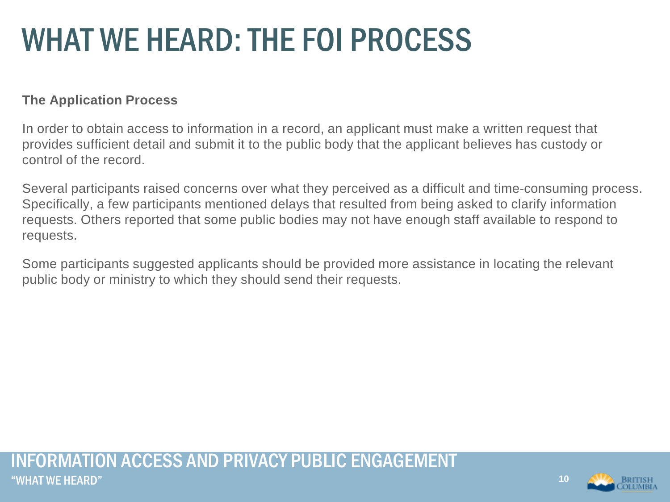#### **The Application Process**

In order to obtain access to information in a record, an applicant must make a written request that provides sufficient detail and submit it to the public body that the applicant believes has custody or control of the record.

Several participants raised concerns over what they perceived as a difficult and time-consuming process. Specifically, a few participants mentioned delays that resulted from being asked to clarify information requests. Others reported that some public bodies may not have enough staff available to respond to requests.

Some participants suggested applicants should be provided more assistance in locating the relevant public body or ministry to which they should send their requests.

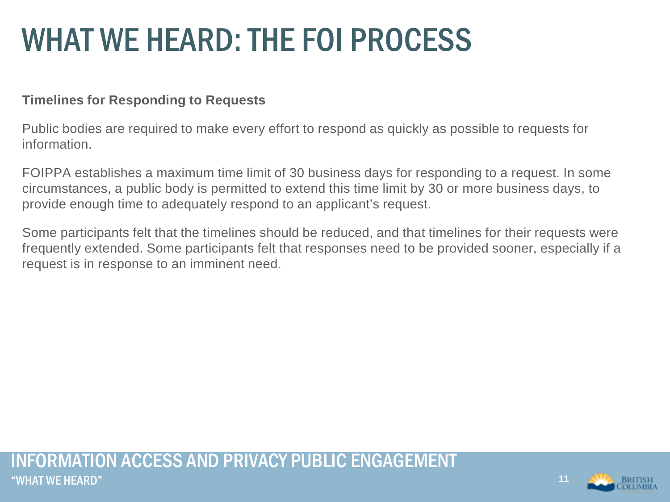### **Timelines for Responding to Requests**

Public bodies are required to make every effort to respond as quickly as possible to requests for information.

FOIPPA establishes a maximum time limit of 30 business days for responding to a request. In some circumstances, a public body is permitted to extend this time limit by 30 or more business days, to provide enough time to adequately respond to an applicant's request.

Some participants felt that the timelines should be reduced, and that timelines for their requests were frequently extended. Some participants felt that responses need to be provided sooner, especially if a request is in response to an imminent need.

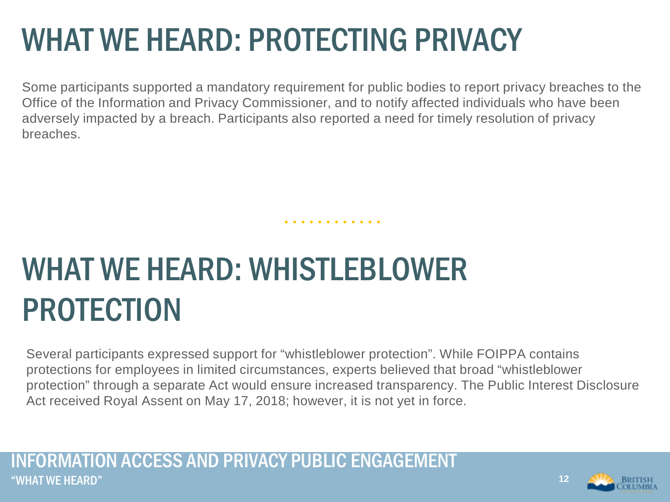### WHAT WE HEARD: PROTECTING PRIVACY

Some participants supported a mandatory requirement for public bodies to report privacy breaches to the Office of the Information and Privacy Commissioner, and to notify affected individuals who have been adversely impacted by a breach. Participants also reported a need for timely resolution of privacy breaches.

. . . . . . . . . . .

## WHAT WE HEARD: WHISTLEBLOWER PROTECTION

Several participants expressed support for "whistleblower protection". While FOIPPA contains protections for employees in limited circumstances, experts believed that broad "whistleblower protection" through a separate Act would ensure increased transparency. The Public Interest Disclosure Act received Royal Assent on May 17, 2018; however, it is not yet in force.

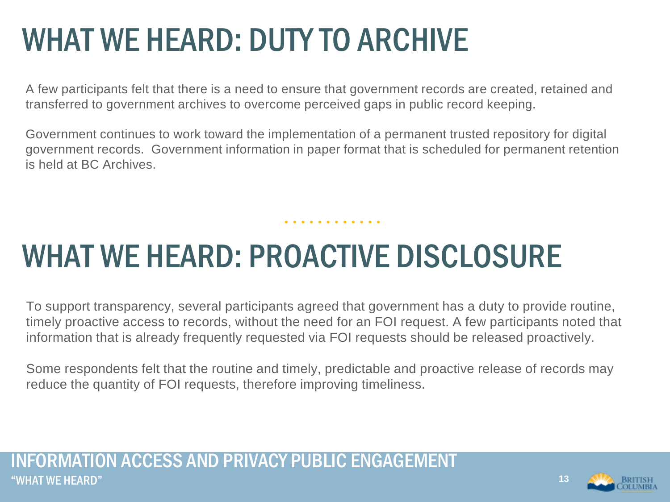### WHAT WE HEARD: DUTY TO ARCHIVE

A few participants felt that there is a need to ensure that government records are created, retained and transferred to government archives to overcome perceived gaps in public record keeping.

Government continues to work toward the implementation of a permanent trusted repository for digital government records. Government information in paper format that is scheduled for permanent retention is held at BC Archives.

. . . . . . . . . . . .

### WHAT WE HEARD: PROACTIVE DISCLOSURE

To support transparency, several participants agreed that government has a duty to provide routine, timely proactive access to records, without the need for an FOI request. A few participants noted that information that is already frequently requested via FOI requests should be released proactively.

Some respondents felt that the routine and timely, predictable and proactive release of records may reduce the quantity of FOI requests, therefore improving timeliness.

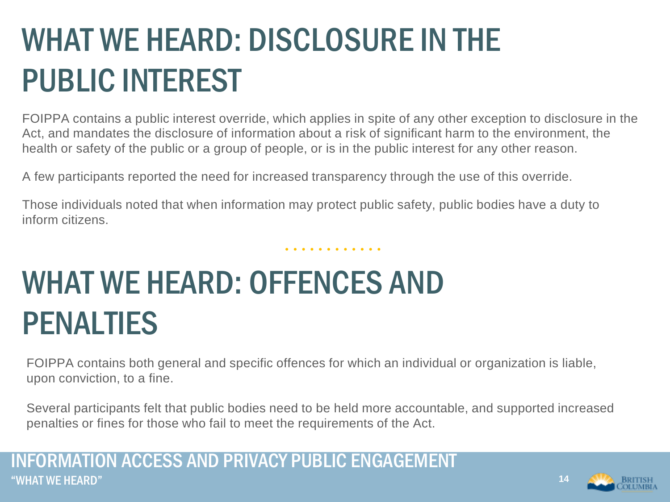## WHAT WE HEARD: DISCLOSURE IN THE PUBLIC INTEREST

FOIPPA contains a public interest override, which applies in spite of any other exception to disclosure in the Act, and mandates the disclosure of information about a risk of significant harm to the environment, the health or safety of the public or a group of people, or is in the public interest for any other reason.

. . . . . . . . . . . .

A few participants reported the need for increased transparency through the use of this override.

Those individuals noted that when information may protect public safety, public bodies have a duty to inform citizens.

### WHAT WE HEARD: OFFENCES AND PENALTIES

FOIPPA contains both general and specific offences for which an individual or organization is liable, upon conviction, to a fine.

Several participants felt that public bodies need to be held more accountable, and supported increased penalties or fines for those who fail to meet the requirements of the Act.